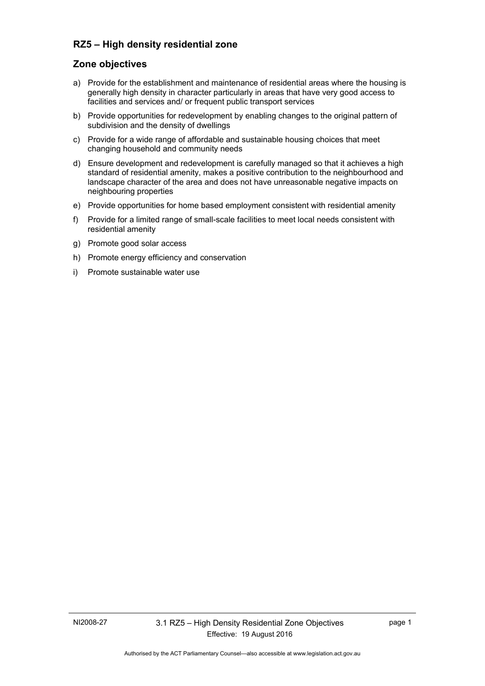# **RZ5 – High density residential zone**

# **Zone objectives**

- a) Provide for the establishment and maintenance of residential areas where the housing is generally high density in character particularly in areas that have very good access to facilities and services and/ or frequent public transport services
- b) Provide opportunities for redevelopment by enabling changes to the original pattern of subdivision and the density of dwellings
- c) Provide for a wide range of affordable and sustainable housing choices that meet changing household and community needs
- d) Ensure development and redevelopment is carefully managed so that it achieves a high standard of residential amenity, makes a positive contribution to the neighbourhood and landscape character of the area and does not have unreasonable negative impacts on neighbouring properties
- e) Provide opportunities for home based employment consistent with residential amenity
- f) Provide for a limited range of small-scale facilities to meet local needs consistent with residential amenity
- g) Promote good solar access
- h) Promote energy efficiency and conservation
- i) Promote sustainable water use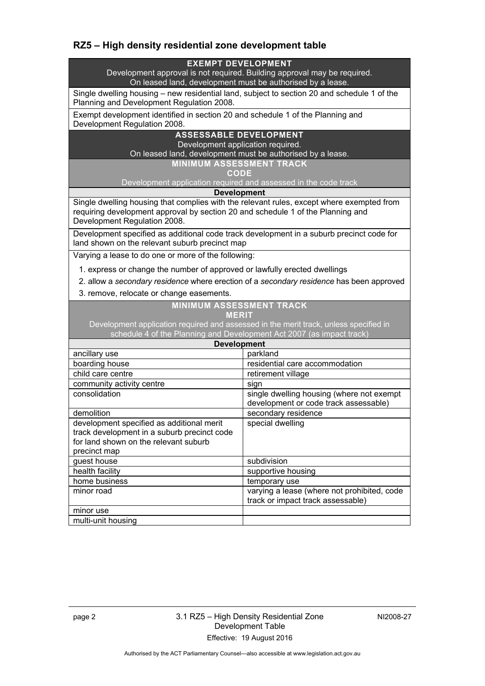# **RZ5 – High density residential zone development table**

## **EXEMPT DEVELOPMENT**

Development approval is not required. Building approval may be required. On leased land, development must be authorised by a lease.

Single dwelling housing – new residential land, subject to section 20 and schedule 1 of the Planning and Development Regulation 2008.

Exempt development identified in section 20 and schedule 1 of the Planning and Development Regulation 2008.

### **ASSESSABLE DEVELOPMENT**

Development application required. On leased land, development must be authorised by a lease.

**MINIMUM ASSESSMENT TRACK** 

**CODE** 

Development application required and assessed in the code track

**Development**

Single dwelling housing that complies with the relevant rules, except where exempted from requiring development approval by section 20 and schedule 1 of the Planning and Development Regulation 2008.

Development specified as additional code track development in a suburb precinct code for land shown on the relevant suburb precinct map

Varying a lease to do one or more of the following:

- 1. express or change the number of approved or lawfully erected dwellings
- 2. allow a *secondary residence* where erection of a *secondary residence* has been approved
- 3. remove, relocate or change easements.

#### **MINIMUM ASSESSMENT TRACK**

#### **MERIT**

Development application required and assessed in the merit track, unless specified in schedule 4 of the Planning and Development Act 2007 (as impact track)

| <b>Development</b>                          |                                             |
|---------------------------------------------|---------------------------------------------|
| ancillary use                               | parkland                                    |
| boarding house                              | residential care accommodation              |
| child care centre                           | retirement village                          |
| community activity centre                   | sign                                        |
| consolidation                               | single dwelling housing (where not exempt   |
|                                             | development or code track assessable)       |
| demolition                                  | secondary residence                         |
| development specified as additional merit   | special dwelling                            |
| track development in a suburb precinct code |                                             |
| for land shown on the relevant suburb       |                                             |
| precinct map                                |                                             |
| guest house                                 | subdivision                                 |
| health facility                             | supportive housing                          |
| home business                               | temporary use                               |
| minor road                                  | varying a lease (where not prohibited, code |
|                                             | track or impact track assessable)           |
| minor use                                   |                                             |
| multi-unit housing                          |                                             |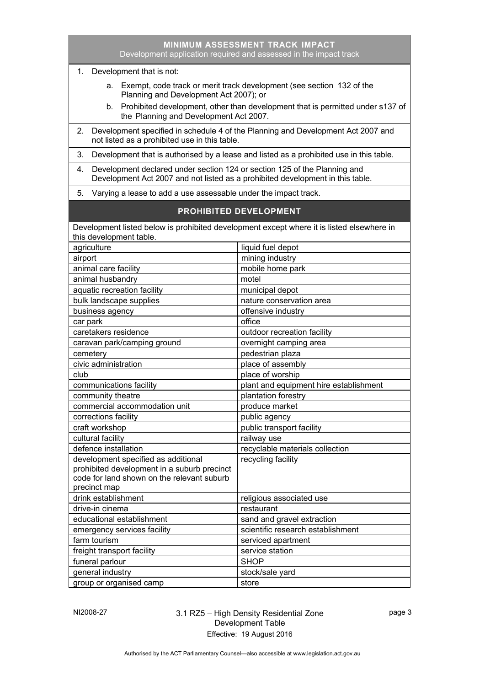|                                                                                                                                                                   | Development application required and assessed in the impact track |  |
|-------------------------------------------------------------------------------------------------------------------------------------------------------------------|-------------------------------------------------------------------|--|
| 1. Development that is not:                                                                                                                                       |                                                                   |  |
| a. Exempt, code track or merit track development (see section 132 of the<br>Planning and Development Act 2007); or                                                |                                                                   |  |
| Prohibited development, other than development that is permitted under s137 of<br>b.<br>the Planning and Development Act 2007.                                    |                                                                   |  |
| Development specified in schedule 4 of the Planning and Development Act 2007 and<br>2.<br>not listed as a prohibited use in this table.                           |                                                                   |  |
| 3.<br>Development that is authorised by a lease and listed as a prohibited use in this table.                                                                     |                                                                   |  |
| Development declared under section 124 or section 125 of the Planning and<br>4.<br>Development Act 2007 and not listed as a prohibited development in this table. |                                                                   |  |
| 5.<br>Varying a lease to add a use assessable under the impact track.                                                                                             |                                                                   |  |
| <b>PROHIBITED DEVELOPMENT</b>                                                                                                                                     |                                                                   |  |
| Development listed below is prohibited development except where it is listed elsewhere in                                                                         |                                                                   |  |
| this development table.                                                                                                                                           |                                                                   |  |
| agriculture                                                                                                                                                       | liquid fuel depot                                                 |  |
| airport                                                                                                                                                           | mining industry                                                   |  |
| animal care facility                                                                                                                                              | mobile home park                                                  |  |
| animal husbandry                                                                                                                                                  | motel                                                             |  |
| aquatic recreation facility                                                                                                                                       | municipal depot                                                   |  |
| bulk landscape supplies                                                                                                                                           | nature conservation area                                          |  |
| business agency                                                                                                                                                   | offensive industry                                                |  |
| car park                                                                                                                                                          | office                                                            |  |
| caretakers residence                                                                                                                                              | outdoor recreation facility                                       |  |
| caravan park/camping ground                                                                                                                                       | overnight camping area                                            |  |
| cemetery                                                                                                                                                          | pedestrian plaza                                                  |  |
| civic administration                                                                                                                                              | place of assembly                                                 |  |
|                                                                                                                                                                   | place of worship                                                  |  |
| club                                                                                                                                                              |                                                                   |  |
| communications facility                                                                                                                                           | plant and equipment hire establishment                            |  |
| community theatre                                                                                                                                                 | plantation forestry                                               |  |
| commercial accommodation unit                                                                                                                                     | produce market                                                    |  |
| corrections facility                                                                                                                                              | public agency                                                     |  |
| craft workshop                                                                                                                                                    | public transport facility                                         |  |
| cultural facility                                                                                                                                                 | railway use                                                       |  |
| defence installation                                                                                                                                              | recyclable materials collection                                   |  |
| development specified as additional<br>prohibited development in a suburb precinct<br>code for land shown on the relevant suburb<br>precinct map                  | recycling facility                                                |  |
| drink establishment                                                                                                                                               | religious associated use                                          |  |
| drive-in cinema                                                                                                                                                   | restaurant                                                        |  |
| educational establishment                                                                                                                                         | sand and gravel extraction                                        |  |
| emergency services facility                                                                                                                                       | scientific research establishment                                 |  |
| farm tourism                                                                                                                                                      | serviced apartment                                                |  |
| freight transport facility                                                                                                                                        | service station                                                   |  |
| funeral parlour                                                                                                                                                   | <b>SHOP</b>                                                       |  |
| general industry                                                                                                                                                  | stock/sale yard                                                   |  |
| group or organised camp                                                                                                                                           | store                                                             |  |
|                                                                                                                                                                   |                                                                   |  |

**MINIMUM ASSESSMENT TRACK IMPACT**

## NI2008-27 3.1 RZ5 – High Density Residential Zone Development Table Effective: 19 August 2016